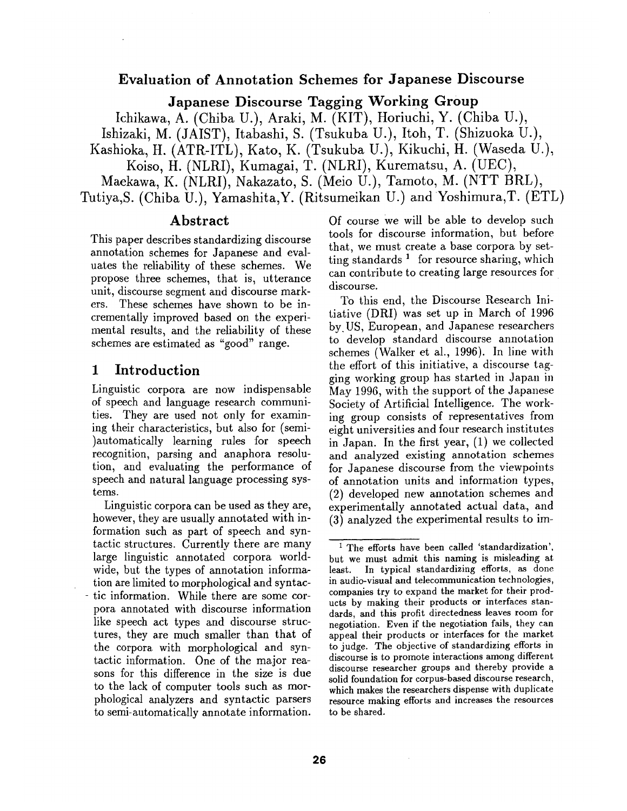# **Evaluation of Annotation Schemes for Japanese Discourse**

**Japanese Discourse Tagging Working Group** 

Ichikawa, A. (Chiba U.), Araki, M. (KIT), Horiuchi, Y. (Chiba V.),

Ishizaki, M. (JAIST), Itabashi, S. (Tsukuba U.), Itoh, T. (Shizuoka U.),

Kashioka, H. (ATR-ITL), Kato, K. (Tsukuba U.), Kikuchi, H. (Waseda U.),

Koiso, H. (NLRI), Kumagai, T. (NLRI), Kurematsu, A. (UEC),

Maekawa, K. (NLRI), Nakazato, S. (Meio U.), Tamoto, M. (NTT BRL),

Tutiya,S. (Chiba U.), Yamashita,Y. (Ritsumeikan U.) and Yoshimura,T. (ETL)

## **Abstract**

This paper describes standardizing discourse annotation schemes for Japanese and evaluates the reliability of these schemes. We propose three schemes, that is, utterance unit, discourse segment and discourse markers. These schemes have shown to be incrementally improved based on the experimental results, and the reliability of these schemes are estimated as "good" range.

## **1 Introduction**

Linguistic corpora are now indispensable of speech and language research communities. They are used not only for examining their characteristics, but also for (semi- )automatically learning rules for speech recognition, parsing and anaphora resolution, and evaluating the performance of speech and natural language processing systems.

Linguistic corpora can be used as they are, however, they are usually annotated with information such as part of speech and syntactic structures. Currently there are many large linguistic annotated corpora worldwide, but the types of annotation information are limited to morphological and syntac tic information. While there are some corpora annotated with discourse information like speech act types and discourse structures, they are much smaller than that of the corpora, with morphological and syntactic information. One of the major reasons for this difference in the size is due to the lack of computer tools such as morphological analyzers and syntactic parsers to semi-automatically annotate information.

Of course we will be able to develop such tools for discourse information, but before that, we must create a base corpora by setting standards  $<sup>1</sup>$  for resource sharing, which</sup> can contribute to creating large resources for discourse.

To this end, the Discourse Research Initiative (DRI) was set up in March of 1996 byUS, European, and Japanese researchers to develop standard discourse annotation schemes (Walker et al., 1996). In line with the effort of this initiative, a discourse tagging working group has started in Japan in May 1996, with the support of the Japanese Society of Artificial Intelligence. The working group consists of representatives from eight universities and four research institutes in Japan. In the first year, (1) we collected and analyzed existing annotation schemes for Japanese discourse from the viewpoints of annotation units and information types, (2) developed new annotation schemes and experimentally annotated actual data, and (3) analyzed the experimental results to **ira-**

<sup>&</sup>lt;sup>1</sup> The efforts have been called 'standardization', but we must admit this naming is misleading at least. In typical standardizing efforts, as done in audio-visual and telecommunication technologies, companies try to expand the market for their products by making their products or interfaces standards, and this profit directedness leaves room for negotiation. Even if the negotiation fails, they can appeal their products or interfaces for the market to judge. The objective of standardizing efforts in discourse is to promote interactions among different discourse researcher groups and thereby provide a solid foundation for corpus-based discourse research, which makes the researchers dispense with duplicate resource making efforts and increases the resources to be shared.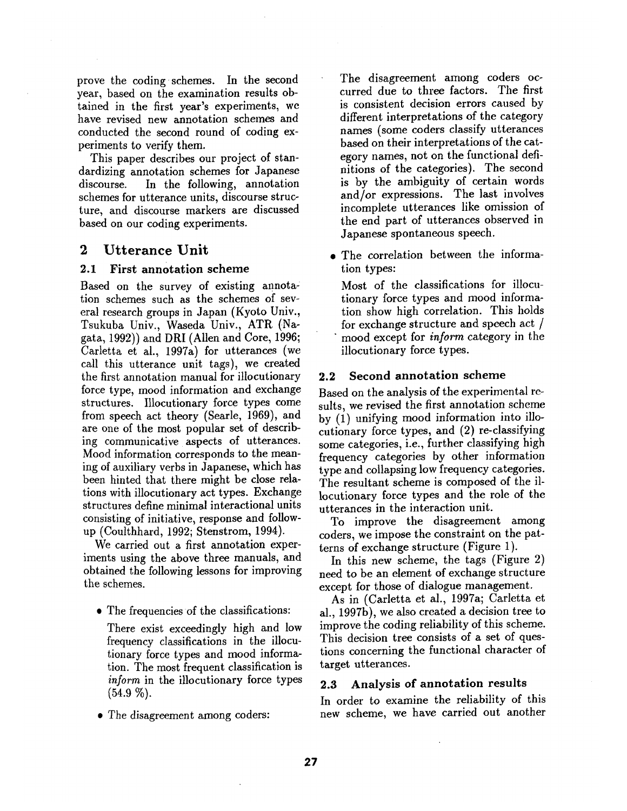prove the coding schemes. In the second year, based on the examination results obtained in the first year's experiments, we have revised new annotation schemes and conducted the second round of coding experiments to verify them.

This paper describes our project of standardizing annotation schemes for Japanese discourse. In the following, annotation schemes for utterance units, discourse structure, and discourse markers are discussed based on our coding experiments.

# **2 Utterance Unit**

### 2.1 First annotation scheme

Based on the survey of existing annotation schemes such as the schemes of several research groups in Japan (Kyoto Univ., Tsukuba Univ., Waseda Univ., ATR (Nagata, 1992)) and DRI (Allen and Core, 1996; Carletta et al., 1997a) for utterances (we call this utterance unit tags), we created the first annotation manual for illocutionary force type, mood information and exchange structures. Illocutionary force types come from speech act theory (Searle, 1969), and are one of the most popular set of describing communicative aspects of utterances. Mood information corresponds to the meaning of auxiliary verbs in Japanese, which has been hinted that there might be close relations with illocutionary act types. Exchange structures define minimal interactional units consisting of initiative, response and followup (Coulthhard, 1992; Stenstrom, 1994).

We carried out a first annotation experiments using the above three manuals, and obtained the following lessons for improving the schemes.

- The frequencies of the classifications:
	- There exist exceedingly high and low frequency classifications in the illocutionary force types and mood information. The most frequent classification is *inform* in the illocutionary force types  $(54.9\%)$ .
- The disagreement among coders:

The disagreement among coders occurred due to three factors. The first is consistent decision errors caused by different interpretations of the category names (some coders classify utterances based on their interpretations of the category names, not on the functional definitions of the categories). The second is by the ambiguity of certain words and/or expressions. The last involves incomplete utterances like omission of the end part of utterances observed in Japanese spontaneous speech.

The correlation between the information types:

Most of the classifications for illocutionary force types and mood information show high correlation. This holds for exchange structure and speech act / • mood except for *inform* category in the illocutionary force types.

## 2.2 Second annotation scheme

Based on the analysis of the experimental results, we revised the first annotation scheme by (1) unifying mood information into illocutionary force types, and (2) re-classifying some categories, i.e., further classifying high frequency categories by other information type and collapsing low frequency categories. The resultant scheme is composed of the illocutionary force types and the role of the utterances in the interaction unit.

To improve the disagreement among coders, we impose the constraint on the patterns of exchange structure (Figure 1).

In this new scheme, the tags (Figure 2) need to be an element of exchange structure except for those of dialogue management.

As in (Carletta et al., 1997a; Carletta et al., 1997b), we also created a decision tree to improve the coding reliability of this scheme. This decision tree consists of a set of questions concerning the functional character of target utterances.

## 2.3 Analysis of annotation results

In order to examine the reliability of this new scheme, we have carried out another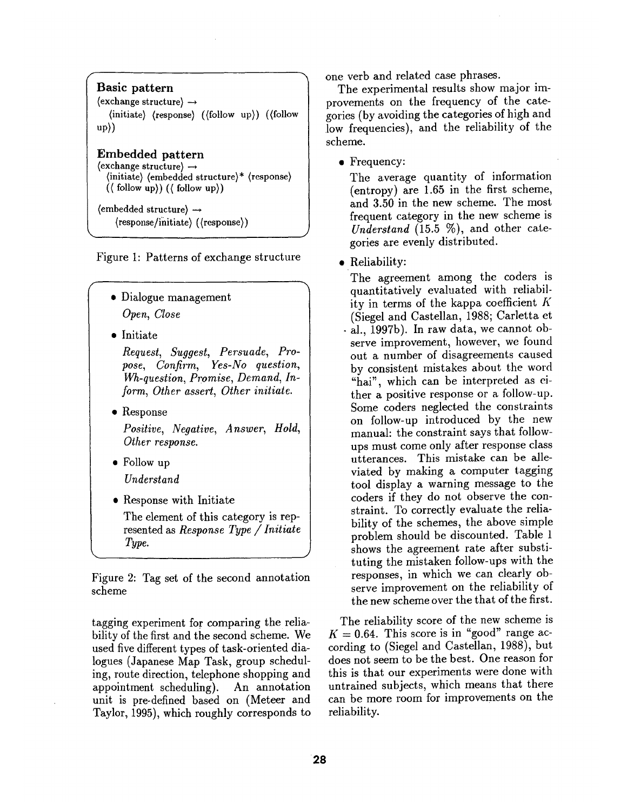| Basic pattern<br>$\langle$ exchange structure $\rangle \rightarrow$<br>$\langle$ initiate $\rangle$ (response) $(\langle$ follow up $\rangle)$ $(\langle$ follow<br>up)                  |
|------------------------------------------------------------------------------------------------------------------------------------------------------------------------------------------|
| Embedded pattern<br>$\langle$ exchange structure $\rangle \rightarrow$<br>(initiate) (embedded structure)* (response)<br>$(\langle$ follow up $\rangle)$ $(\langle$ follow up $\rangle)$ |
| $\langle$ embedded structure $\rangle \rightarrow$<br>(response/initiate) ((response))                                                                                                   |



- Dialogue management *Open, Close*
- Initiate

*Request, Suggest, Persuade, Propose, Confirm, Yes-No question, Wh-question, Promise, Demand, Inform, Other assert, Other initiate.* 

Response

*Positive, Negative, Answer, Hold, Other response.* 

- Follow up *Understand*
- Response with Initiate

The element of this category is represented as *Response Type / Initiate Type.* 

Figure 2: Tag set of the second annotation **scheme** 

tagging experiment for comparing the reliability of the first and the second scheme. We used five different types of task-oriented dialogues (Japanese Map Task, group scheduling, route direction, telephone shopping and appointment scheduling). An annotation unit is pre-defined based on (Meteer and Taylor, 1995), which roughly corresponds to one verb and related case phrases.

The experimental results show major improvements on the frequency of the categories (by avoiding the categories of high and low frequencies), and the reliability of the scheme.

• Frequency:

The average quantity of information (entropy) are 1.65 in the first scheme, and 3.50 in the new scheme. The most frequent category in the new scheme is *Understand* (15.5  $\%$ ), and other categories are evenly distributed.

• Reliability:

The agreement among the coders is quantitatively evaluated with reliability in terms of the kappa coefficient  $K$ (Siegel and Castellan, 1988; Carletta et - al., 1997b). In raw data, we cannot observe improvement, however, we found out a number of disagreements caused by consistent mistakes about the word "hai", which can be interpreted as either a positive response or a follow-up. Some coders neglected the constraints on follow-up introduced by the new manual: the constraint says that followups must come only after response class utterances. This mistake can be alleviated by making a computer tagging tool display a warning message to the coders if they do not observe the constraint. To correctly evaluate the reliability of the schemes, the above simple problem should be discounted. Table 1 shows the agreement rate after substituting the mistaken follow-ups with the responses, in which we can clearly observe improvement on the reliability of the new scheme over the that of the first.

The reliability score of the new scheme is  $K = 0.64$ . This score is in "good" range according to (Siegel and Castellan, 1988), but does not seem to be the best. One reason for this is that our experiments were done with untrained subjects, which means that there can be more room for improvements on the reliability.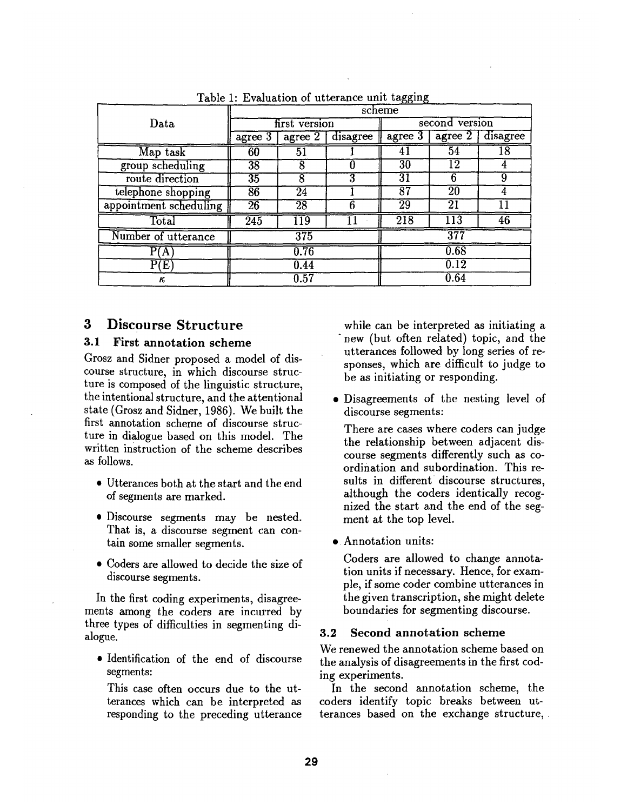|                        | scheme            |                 |          |                  |                   |                 |
|------------------------|-------------------|-----------------|----------|------------------|-------------------|-----------------|
| $\rm Data$             | first version     |                 |          | second version   |                   |                 |
|                        | agree $3$         | agree $21$      | disagree | agree $3$        | $\text{agree } 2$ | disagree        |
| Map task               | 60                | 51              |          | 4]               | $\overline{54}$   | 18              |
| group scheduling       | $\overline{38}$   | 8               |          | $\overline{30}$  | 2                 | 4               |
| route direction        | $\overline{35}$   | 8               |          | 31               |                   | 9               |
| telephone shopping     | 86                | $\overline{24}$ |          | $\overline{87}$  | 20                |                 |
| appointment scheduling | 26                | $\overline{28}$ | 6        | $\overline{29}$  | 21                |                 |
| $\rm Total$            | 245               | I 19            |          | $\overline{218}$ | $\overline{113}$  | $\overline{46}$ |
| Number of utterance    | $\overline{375}$  |                 |          |                  | $\overline{377}$  |                 |
| - (A                   | $\overline{0.76}$ |                 |          |                  | 0.68              |                 |
| E<br>p,                | 0.44              |                 |          |                  | 0.12              |                 |
| κ                      | $\overline{0.57}$ |                 |          |                  | 0.64              |                 |

Table 1: Evaluation of utterance unit tagging

### 3 Discourse Structure

### **3.1 First annotation scheme**

Grosz and Sidner proposed a model of discourse structure, in which discourse structure is composed of the linguistic structure, the intentional structure, and the attentional state (Grosz and Sidner, 1986). We built the first annotation scheme of discourse structure in dialogue based on this model. The written instruction of the scheme describes as follows.

- Utterances both at the start and the end of segments are marked.
- Discourse segments may be nested. That is, a discourse segment can contain some smaller segments.
- Coders are allowed to decide the size of discourse segments.

In the first coding experiments, disagreements among the coders are incurred by three types of difficulties in segmenting dialogue.

• Identification of the end of discourse segments:

This case often occurs due to the utterances which can be interpreted as responding to the preceding utterance

while can be interpreted as initiating a new (but often related) topic, and the utterances followed by long series of responses, which are difficult to judge to be as initiating or responding.

• Disagreements of the nesting level of discourse segments:

There are cases where coders can judge the relationship between adjacent discourse segments differently such as coordination and subordination. This results in different discourse structures, although the coders identically recognized the start and the end of the segment at the top level.

• Annotation units:

Coders are allowed to change annotation units if necessary. Hence, for example, if some coder combine utterances in the given transcription, she might delete boundaries for segmenting discourse.

#### **3.2 Second annotation scheme**

We renewed the annotation scheme based on the analysis of disagreements in the first coding experiments.

In the second annotation scheme, the coders identify topic breaks between utterances based on the exchange structure,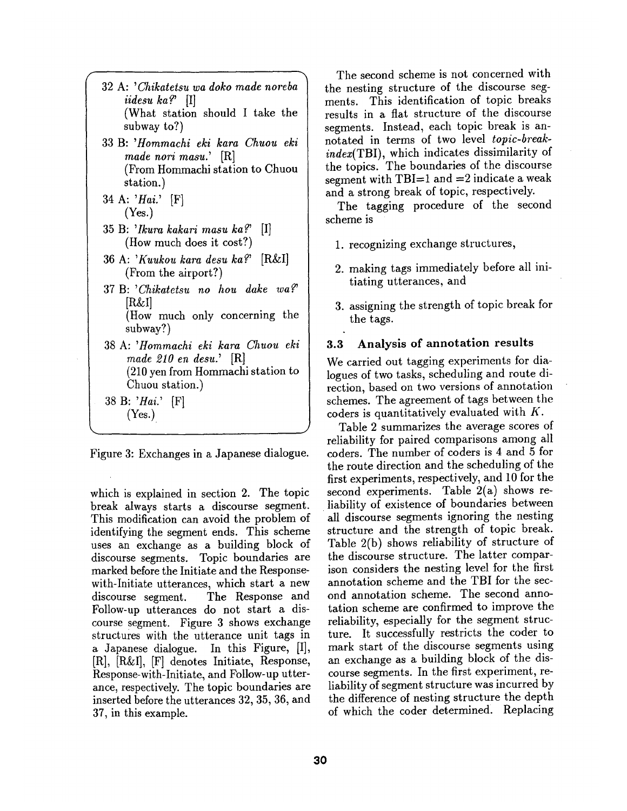| 32 A: 'Chikatetsu wa doko made noreba<br><i>iidesu ka?</i> [I]<br>(What station should I take the<br>subway to?)                                         |
|----------------------------------------------------------------------------------------------------------------------------------------------------------|
| 33 B: 'Hommachi eki kara Chuou eki<br>made nori masu.' [R]<br>(From Hommachi station to Chuou<br>station.)                                               |
| 34 A: ' $Hai$ ' [F]<br>(Yes.)                                                                                                                            |
| 35 B: 'Ikura kakari masu ka?'  I <br>(How much does it cost?)                                                                                            |
| 36 A: 'Kuukou kara desu ka?' [R&I]<br>(From the airport?)                                                                                                |
| 37 B: 'Chikatetsu no hou dake wa?'<br>$[R\&I]$<br>(How much only concerning the<br>subway?)                                                              |
| 38 A: 'Hommachi eki kara Chuou eki<br>made 210 en desu.' [R]<br>$(210 \,\text{yen} \text{ from} \text{ Hommachi} \text{ station to})$<br>Chuou station.) |
| 38 B: 'Hai.' [F]<br>(Yes.)                                                                                                                               |

Figure 3: Exchanges in a Japanese dialogue.

which is explained in section 2. The topic break always starts a discourse segment. This modification can avoid the problem of identifying the segment ends. This scheme uses an exchange as a building block of discourse segments. Topic boundaries are marked before the Initiate and the Responsewith-Initiate utterances, which start a new discourse segment. The Response and Follow-up utterances do not start a discourse segment. Figure 3 shows exchange structures with the utterance unit tags in a Japanese dialogue. In this Figure, [I],  $[R], [R\&I], [F]$  denotes Initiate, Response, Response-with-Initiate, and Follow-up utterance, respectively. The topic boundaries are inserted before the utterances 32, 35, 36, and 37, in this example.

The second scheme is not concerned with the nesting structure of the discourse segments. This identification of topic breaks results in a flat structure of the discourse segments. Instead, each topic break is annotated in terms of two level *topic-breakindex(TBI),* which indicates dissimilarity of the topics. The boundaries of the discourse segment with  $TBI=1$  and  $=2$  indicate a weak and a strong break of topic, respectively.

The tagging procedure of the second scheme is

- 1. recognizing exchange structures,
- 2. making tags immediately before all initiating utterances, and
- 3. assigning the strength of topic break for the tags.

#### **3.3 Analysis of annotation results**

We carried out tagging experiments for dialogues of two tasks, scheduling and route direction, based on two versions of annotation schemes. The agreement of tags between the coders is quantitatively evaluated with K.

Table 2 summarizes the average scores of reliability for paired comparisons among all coders. The number of coders is 4 and 5 for the route direction and the scheduling of the first experiments, respectively, and 10 for the second experiments. Table 2(a) shows reliability of existence of boundaries between all discourse segments ignoring the nesting structure and the strength of topic break. Table 2(b) shows reliability of structure of the discourse structure. The latter comparison considers the nesting level for the first annotation scheme and the TBI for the second annotation scheme. The second annotation scheme are confirmed to improve the reliability, especially for the segment structure. It successfully restricts the coder to mark start of the discourse segments using an exchange as a building block of the discourse segments. In the first experiment, reliability of segment structure was incurred by the difference of nesting structure the depth of which the coder determined. Replacing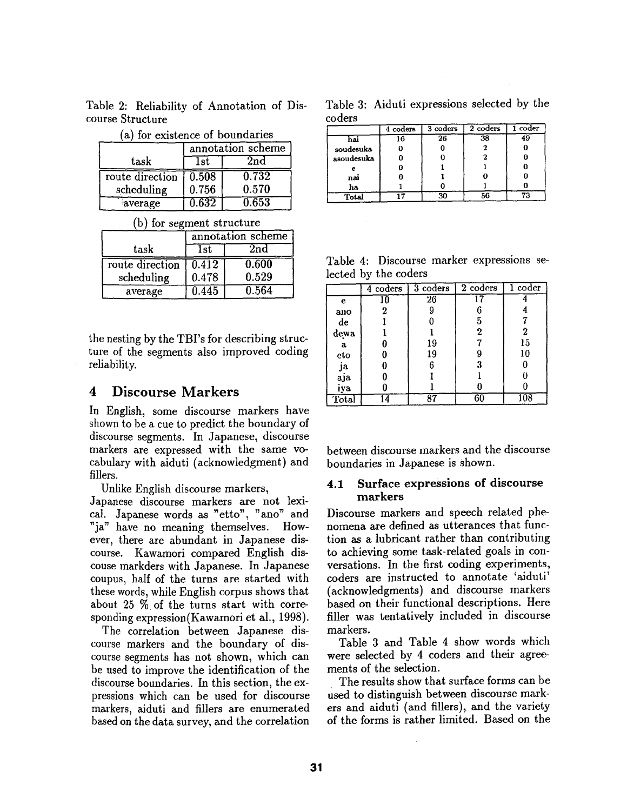Table 2: Reliability of Annotation of Discourse Structure (a) for existence of boundaries

| ິ<br>TOT CAISTERIC OF DOUTLOCETICS |                    |       |  |  |  |
|------------------------------------|--------------------|-------|--|--|--|
|                                    | annotation scheme  |       |  |  |  |
| task                               | 1st                | 2nd   |  |  |  |
| route direction                    | 0.508              | 0.732 |  |  |  |
| scheduling                         | 0.756              | 0.570 |  |  |  |
| average                            | $\overline{0.632}$ | 0.653 |  |  |  |

(b) for segment structure

|                 | annotation scheme |       |  |
|-----------------|-------------------|-------|--|
| task            | 2nd<br>1st        |       |  |
| route direction | 0.412             | 0.600 |  |
| scheduling      | 0.478             | 0.529 |  |
| average         | $0.445\,$         | 0.564 |  |

the nesting by the TBI's for describing structure of the segments also improved coding reliability.

## **4** Discourse Markers

In English, some discourse markers have shown to be a cue to predict the boundary of discourse segments. In Japanese, discourse markers are expressed with the same vocabulary with aiduti (acknowledgment) and fillers.

Unlike English discourse markers,

Japanese discourse markers are not lexical. Japanese words as "etto', "ano" and "ja" have no meaning themselves. However, there are abundant in Japanese discourse. Kawamori compared English discouse markders with Japanese. In Japanese coupus, half of the turns are started with these words, while English corpus shows that about 25 % of the turns start with corresponding expression(Kawamori et al., 1998).

The correlation between Japanese discourse markers and the boundary of discourse segments has not shown, which can be used to improve the identification of the discourse boundaries. In this section, the expressions which can be used for discourse markers, aiduti and fillers are enumerated based on the data survey, and the correlation

Table 3: Aiduti expressions selected by the co ders

|            | 4 coders | $3$ coders | 2 coders | coder |
|------------|----------|------------|----------|-------|
| hai        | 16       | 26         | 38       | 49    |
| soudesuka  |          |            |          |       |
| asoudesuka |          |            |          |       |
| e          |          |            |          |       |
| nai        |          |            |          |       |
| ha         |          |            |          |       |
| 'Total     |          | 30         | 56       |       |

Table 4: Discourse marker expressions selected by the coders

|                | 4 coders | $3$ coders | 2 coders | $1$ coder |
|----------------|----------|------------|----------|-----------|
| е              | 10       | 26         | 17       |           |
| ano            | 2        |            |          |           |
| $\bf{d}\bf{e}$ |          |            | 5        |           |
| dewa           |          |            | 2        | 2         |
| $\bf a$        |          | 19         |          | 15        |
| eto            |          | 19         | 9        | 10        |
|                |          | 6          | 3        |           |
| ja<br>aja      |          |            |          |           |
| ıya.           |          |            |          |           |
| Total          |          | ο.,        | RГ       | 108       |

between discourse markers and the discourse boundaries in Japanese is shown.

#### 4.1 Surface expressions of discourse markers

Discourse markers and speech related phenomena are defined as utterances that function as a lubricant rather than contributing to achieving some task-related goals in conversations. In the first coding experiments, coders are instructed to annotate 'aiduti' (acknowledgments) and discourse markers based on their functional descriptions. Here filler was tentatively included in discourse markers.

Table 3 and Table 4 show words which were selected by 4 coders and their agreements of the selection.

The results show that surface forms can be used to distinguish between discourse markers and aiduti (and fillers), and the variety of the forms is rather limited. Based on the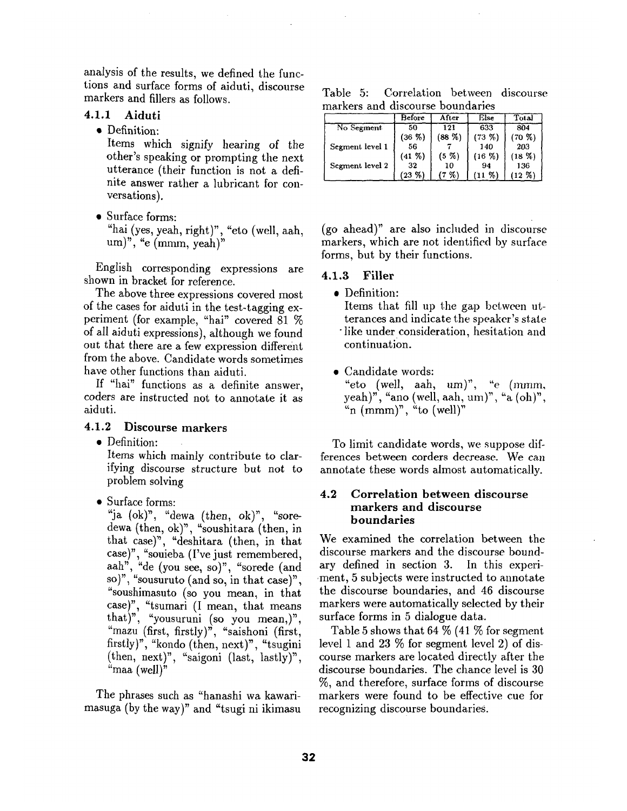analysis of the results, we defined the functions and surface forms of aiduti, discourse markers and fillers as follows.

#### 4.1.1 **Aiduti**

• Definition:

Items which signify hearing of the other's speaking or prompting the next utterance (their function is not a definite answer rather a lubricant for conversations).

• Surface forms:

"hai (yes, yeah, right)", "eto (well, aah, um)", "e (mmm, yeah)"

English corresponding expressions are shown in bracket for reference.

The above three expressions covered most of the cases for aiduti in the test-tagging experiment (for example, "hai" covered 81% of all aiduti expressions), although we found out that there are a few expression different from the above. Candidate words sometimes have other functions than aiduti.

If "hai" functions as a definite answer, coders are instructed not to annotate it as aiduti.

# **4.1.2 Discourse markers**

• Definition:

Items which mainly contribute to clarifying discourse structure but not to problem solving

• Surface forms:

"ja (ok)", "dewa (then, ok)", "soredewa (then, ok)", "soushitara (then, in that case)", "deshitara (then, in that case)", "souieba (I've just remembered, aah", "de (you see, so)", "sorede (and so)", "sousuruto (and so, in that case)", "soushimasuto (so you mean, in that case)", "tsumari (I mean, that means that)", "yousuruni (so you mean,)", "mazu (first, firstly)", "saishoni (first, firstly)", "kondo (then, next)", "tsugini (then, next)", "saigoni (last, lastly)",  $\text{``maa (well)}"$ 

The phrases such as "hanashi wa kawarimasuga (by the way)" and "tsugi ni ikimasu

Table 5: Correlation between discourse markers and discourse boundaries

|                 | Before      | After    | Else      | $\operatorname{Total}$ |
|-----------------|-------------|----------|-----------|------------------------|
| No Segment      | 50          | 121      | 633       | 804                    |
|                 | (36, %)     | (88 %)   | (73 %)    | (70 %)                 |
| Segment level 1 | 56          |          | 140       | 203                    |
|                 | $(41 \%)$   | $(5 \%)$ | $(16 \%)$ | (18 %)                 |
| Segment level 2 | 32          | 10       | 94        | 136                    |
|                 | $(23,  \%)$ | %)       |           | 12 %)                  |

(go ahead)" are also included in discourse markers, which are not identified by surface forms, but by their functions.

#### **4.1.3 Filler**

• Definition:

Items that fill up the gap between utterances and indicate the speaker's state "like under consideration, hesitation and continuation.

• Candidate words: "eto (well, aah, um)", "e (mmm,  $y$ eah)", "ano (well, aah, um)", "a (oh)", "n  $(mmm)$ ", "to  $(well)$ "

To limit candidate words, we suppose differences between corders decrease. We can annotate these words almost automatically.

#### **4.2 Correlation between discourse markers and discourse boundaries**

We examined the correlation between the discourse markers and the discourse boundary defined in section 3. In this experiment, 5 subjects were instructed to annotate the discourse boundaries, and 46 discourse markers were automatically selected by their surface forms in 5 dialogue data.

Table 5 shows that 64 % (41% for segment level 1 and 23 % for segment level 2) of discourse markers are located directly after the discourse boundaries. The chance level is 30 %, and therefore, surface forms of discourse markers were found to be effective cue for recognizing discourse boundaries.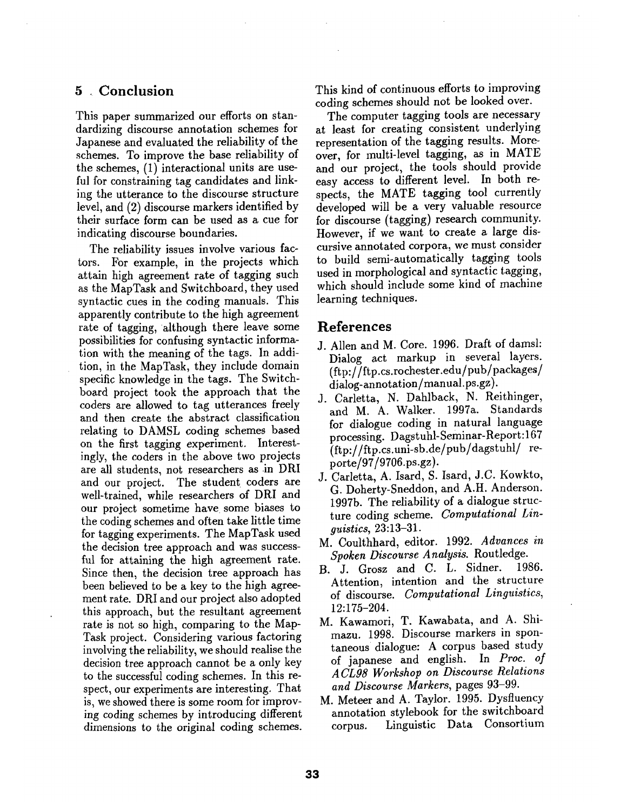## **5 ~ Conclusion**

This paper summarized our efforts on standardizing discourse annotation schemes for Japanese and evaluated the reliability of the schemes. To improve the base reliability of the schemes, (1) interactional units are useful for constraining tag candidates and linking the utterance to the discourse structure level, and (2) discourse markers identified by their surface form can be used as a cue for indicating discourse boundaries.

The reliability issues involve various factors. For example, in the projects which attain high agreement rate of tagging such as the MapTask and Switchboard, they used syntactic cues in the coding manuals. This apparently contribute to the high agreement rate of tagging, although there leave some possibilities for confusing syntactic information with the meaning of the tags. In addition, in the MapTask, they include domain specific knowledge in the tags. The Switchboard project took the approach that the coders are allowed to tag utterances freely and then create the abstract classification relating to DAMSL coding schemes based on the first tagging experiment. Interestingly, the coders in the above two projects are all students, not researchers as in DRI and our project. The student coders are well-trained, while researchers of DRI and our project sometime have some biases to the coding schemes and often take little time for tagging experiments. The MapTask used the decision tree approach and was successful for attaining the high agreement rate. Since then, the decision tree approach has been believed to be a key to the high agreement rate. DRI and our project also adopted this approach, but the resultant agreement rate is not so high, comparing to the Map-Task project. Considering various factoring involving the reliability, we should realise the decision tree approach cannot be a only key to the successful coding schemes. In this respect, our experiments are interesting. That is, we showed there is some room for improving coding schemes by introducing different dimensions to the original coding schemes.

This kind of continuous efforts to improving coding schemes should not be looked over.

The computer tagging tools are necessary at least for creating consistent underlying representation of the tagging results. Moreover, for multi-level tagging, as in MATE and our project, the tools should provide easy access to different level. In both respects, the MATE tagging tool currently developed will be a very valuable resource for discourse (tagging) research community. However, if we want to create a large discursive annotated corpora, we must consider to build semi-automatically tagging tools used in morphological and syntactic tagging, which should include some kind of machine learning techniques.

### **References**

- J. Allen and M. Core. 1996. Draft of damsl: Dialog act markup in several layers. (ftp://ftp.cs.rochester.edu/pub/packages/ dialog-annotation/manual.ps.gz).
- J. Carletta, N. Dahlback, N. Reithinger, and M. A. Walker. 1997a. Standards for dialogue coding in natural language processing. Dagstuhl-Seminar-Report: 167 (ftp://ftp.cs.uni-sb.de/pub/dagstuhl/ reporte/97/9706.ps.gz).
- J. Carletta, A. Isard, S. Isard, J.C. Kowkto, G. Doherty-Sneddon, and A.H. Anderson. 1997b. The reliability of a dialogue structure coding scheme. *Computational Linguistics,* 23:13-31.
- M. Coulthhard, editor. 1992. *Advances in Spoken Discourse Analysis.* Routledge.
- B. J. Grosz and C. L. Sidner. 1986. Attention, intention and the structure of discourse. *Computational Linguistics,*  12:175-204.
- M. Kawamori, T. Kawabata, and A. Shimazu. 1998. Discourse markers in spontaneous dialogue: A corpus based study of japanese and english. In *Proc. of A CL98 Workshop on Discourse Relations and Discourse Markers,* pages 93-99.
- M. Meteer and A. Taylor. 1995. Dysfluency annotation stylebook for the switchboard corpus. Linguistic Data Consortium